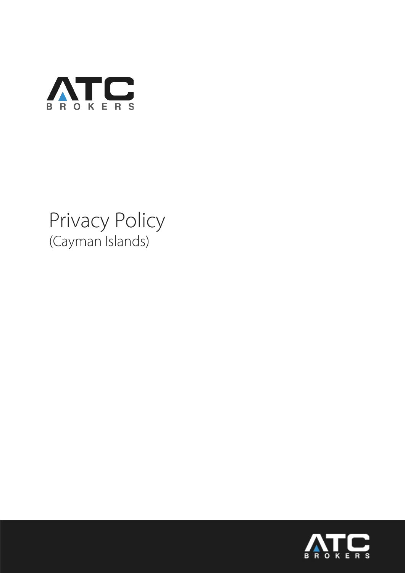

# Privacy Policy (Cayman Islands)

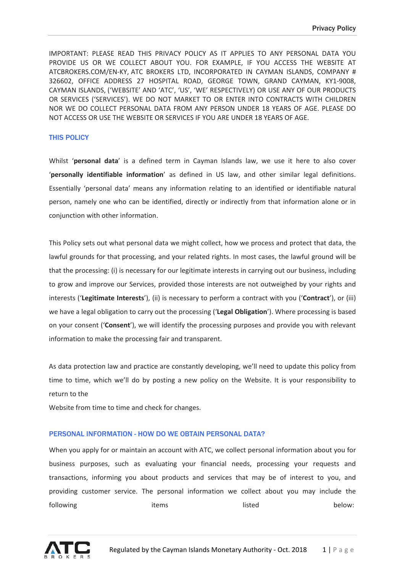IMPORTANT: PLEASE READ THIS PRIVACY POLICY AS IT APPLIES TO ANY PERSONAL DATA YOU PROVIDE US OR WE COLLECT ABOUT YOU. FOR EXAMPLE, IF YOU ACCESS THE WEBSITE AT ATCBROKERS.COM/EN-KY, ATC BROKERS LTD, INCORPORATED IN CAYMAN ISLANDS, COMPANY # 326602, OFFICE ADDRESS 27 HOSPITAL ROAD, GEORGE TOWN, GRAND CAYMAN, KY1-9008, CAYMAN ISLANDS, ('WEBSITE' AND 'ATC', 'US', 'WE' RESPECTIVELY) OR USE ANY OF OUR PRODUCTS OR SERVICES ('SERVICES'). WE DO NOT MARKET TO OR ENTER INTO CONTRACTS WITH CHILDREN NOR WE DO COLLECT PERSONAL DATA FROM ANY PERSON UNDER 18 YEARS OF AGE. PLEASE DO NOT ACCESS OR USE THE WEBSITE OR SERVICES IF YOU ARE UNDER 18 YEARS OF AGE.

## THIS POLICY

Whilst '**personal data**' is a defined term in Cayman Islands law, we use it here to also cover '**personally identifiable information**' as defined in US law, and other similar legal definitions. Essentially 'personal data' means any information relating to an identified or identifiable natural person, namely one who can be identified, directly or indirectly from that information alone or in conjunction with other information.

This Policy sets out what personal data we might collect, how we process and protect that data, the lawful grounds for that processing, and your related rights. In most cases, the lawful ground will be that the processing: (i) is necessary for our legitimate interests in carrying out our business, including to grow and improve our Services, provided those interests are not outweighed by your rights and interests ('**Legitimate Interests**'), (ii) is necessary to perform a contract with you ('**Contract**'), or (iii) we have a legal obligation to carry out the processing ('**Legal Obligation**'). Where processing is based on your consent ('**Consent**'), we will identify the processing purposes and provide you with relevant information to make the processing fair and transparent.

As data protection law and practice are constantly developing, we'll need to update this policy from time to time, which we'll do by posting a new policy on the Website. It is your responsibility to return to the

Website from time to time and check for changes.

#### PERSONAL INFORMATION - HOW DO WE OBTAIN PERSONAL DATA?

When you apply for or maintain an account with ATC, we collect personal information about you for business purposes, such as evaluating your financial needs, processing your requests and transactions, informing you about products and services that may be of interest to you, and providing customer service. The personal information we collect about you may include the following items items items helow:

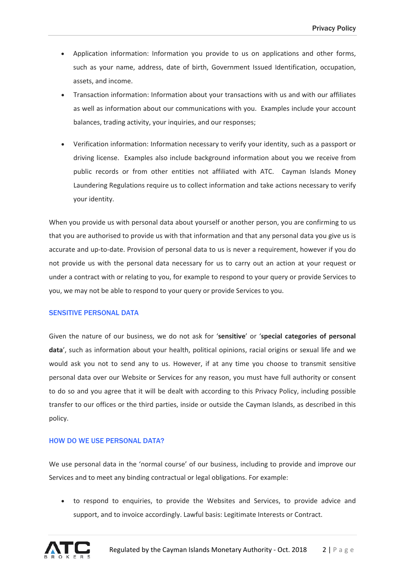- Application information: Information you provide to us on applications and other forms, such as your name, address, date of birth, Government Issued Identification, occupation, assets, and income.
- Transaction information: Information about your transactions with us and with our affiliates as well as information about our communications with you. Examples include your account balances, trading activity, your inquiries, and our responses;
- Verification information: Information necessary to verify your identity, such as a passport or driving license. Examples also include background information about you we receive from public records or from other entities not affiliated with ATC. Cayman Islands Money Laundering Regulations require us to collect information and take actions necessary to verify your identity.

When you provide us with personal data about yourself or another person, you are confirming to us that you are authorised to provide us with that information and that any personal data you give us is accurate and up-to-date. Provision of personal data to us is never a requirement, however if you do not provide us with the personal data necessary for us to carry out an action at your request or under a contract with or relating to you, for example to respond to your query or provide Services to you, we may not be able to respond to your query or provide Services to you.

#### SENSITIVE PERSONAL DATA

Given the nature of our business, we do not ask for '**sensitive**' or '**special categories of personal data**', such as information about your health, political opinions, racial origins or sexual life and we would ask you not to send any to us. However, if at any time you choose to transmit sensitive personal data over our Website or Services for any reason, you must have full authority or consent to do so and you agree that it will be dealt with according to this Privacy Policy, including possible transfer to our offices or the third parties, inside or outside the Cayman Islands, as described in this policy.

# HOW DO WE USE PERSONAL DATA?

We use personal data in the 'normal course' of our business, including to provide and improve our Services and to meet any binding contractual or legal obligations. For example:

• to respond to enquiries, to provide the Websites and Services, to provide advice and support, and to invoice accordingly. Lawful basis: Legitimate Interests or Contract.

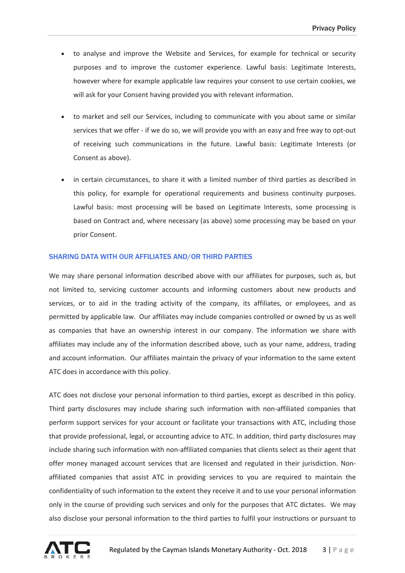- to analyse and improve the Website and Services, for example for technical or security purposes and to improve the customer experience. Lawful basis: Legitimate Interests, however where for example applicable law requires your consent to use certain cookies, we will ask for your Consent having provided you with relevant information.
- to market and sell our Services, including to communicate with you about same or similar services that we offer - if we do so, we will provide you with an easy and free way to opt-out of receiving such communications in the future. Lawful basis: Legitimate Interests (or Consent as above).
- in certain circumstances, to share it with a limited number of third parties as described in this policy, for example for operational requirements and business continuity purposes. Lawful basis: most processing will be based on Legitimate Interests, some processing is based on Contract and, where necessary (as above) some processing may be based on your prior Consent.

## SHARING DATA WITH OUR AFFILIATES AND/OR THIRD PARTIES

We may share personal information described above with our affiliates for purposes, such as, but not limited to, servicing customer accounts and informing customers about new products and services, or to aid in the trading activity of the company, its affiliates, or employees, and as permitted by applicable law. Our affiliates may include companies controlled or owned by us as well as companies that have an ownership interest in our company. The information we share with affiliates may include any of the information described above, such as your name, address, trading and account information. Our affiliates maintain the privacy of your information to the same extent ATC does in accordance with this policy.

ATC does not disclose your personal information to third parties, except as described in this policy. Third party disclosures may include sharing such information with non-affiliated companies that perform support services for your account or facilitate your transactions with ATC, including those that provide professional, legal, or accounting advice to ATC. In addition, third party disclosures may include sharing such information with non-affiliated companies that clients select as their agent that offer money managed account services that are licensed and regulated in their jurisdiction. Nonaffiliated companies that assist ATC in providing services to you are required to maintain the confidentiality of such information to the extent they receive it and to use your personal information only in the course of providing such services and only for the purposes that ATC dictates. We may also disclose your personal information to the third parties to fulfil your instructions or pursuant to

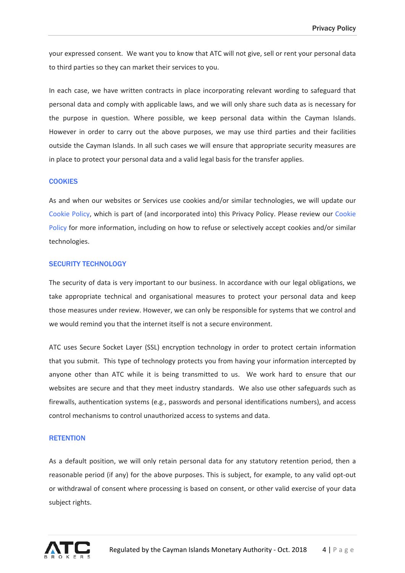your expressed consent. We want you to know that ATC will not give, sell or rent your personal data to third parties so they can market their services to you.

In each case, we have written contracts in place incorporating relevant wording to safeguard that personal data and comply with applicable laws, and we will only share such data as is necessary for the purpose in question. Where possible, we keep personal data within the Cayman Islands. However in order to carry out the above purposes, we may use third parties and their facilities outside the Cayman Islands. In all such cases we will ensure that appropriate security measures are in place to protect your personal data and a valid legal basis for the transfer applies.

## **COOKIES**

As and when our websites or Services use cookies and/or similar technologies, we will update our Cookie Policy, which is part of (and incorporated into) this Privacy Policy. Please review our Cookie Policy for more information, including on how to refuse or selectively accept cookies and/or similar technologies.

## SECURITY TECHNOLOGY

The security of data is very important to our business. In accordance with our legal obligations, we take appropriate technical and organisational measures to protect your personal data and keep those measures under review. However, we can only be responsible for systems that we control and we would remind you that the internet itself is not a secure environment.

ATC uses Secure Socket Layer (SSL) encryption technology in order to protect certain information that you submit. This type of technology protects you from having your information intercepted by anyone other than ATC while it is being transmitted to us. We work hard to ensure that our websites are secure and that they meet industry standards. We also use other safeguards such as firewalls, authentication systems (e.g., passwords and personal identifications numbers), and access control mechanisms to control unauthorized access to systems and data.

### **RETENTION**

As a default position, we will only retain personal data for any statutory retention period, then a reasonable period (if any) for the above purposes. This is subject, for example, to any valid opt-out or withdrawal of consent where processing is based on consent, or other valid exercise of your data subject rights.